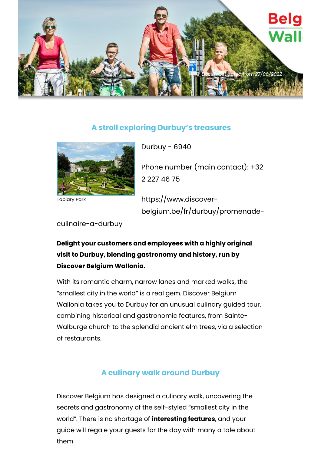

## **A stroll exploring Durbuy's treasures**



Topiary Park

Durbuy - 6940

Phone number (main contact): +32 2 227 46 75

https://www.discoverbelgium.be/fr/durbuy/promenade-

culinaire-a-durbuy

## **Delight your customers and employees with a highly original visit to Durbuy, blending gastronomy and history, run by Discover Belgium Wallonia.**

With its romantic charm, narrow lanes and marked walks, the "smallest city in the world" is a real gem. Discover Belgium Wallonia takes you to Durbuy for an unusual culinary guided tour, combining historical and gastronomic features, from Sainte-Walburge church to the splendid ancient elm trees, via a selection of restaurants.

## **A culinary walk around Durbuy**

Discover Belgium has designed a culinary walk, uncovering the secrets and gastronomy of the self-styled "smallest city in the world". There is no shortage of **interesting features**, and your guide will regale your guests for the day with many a tale about them.